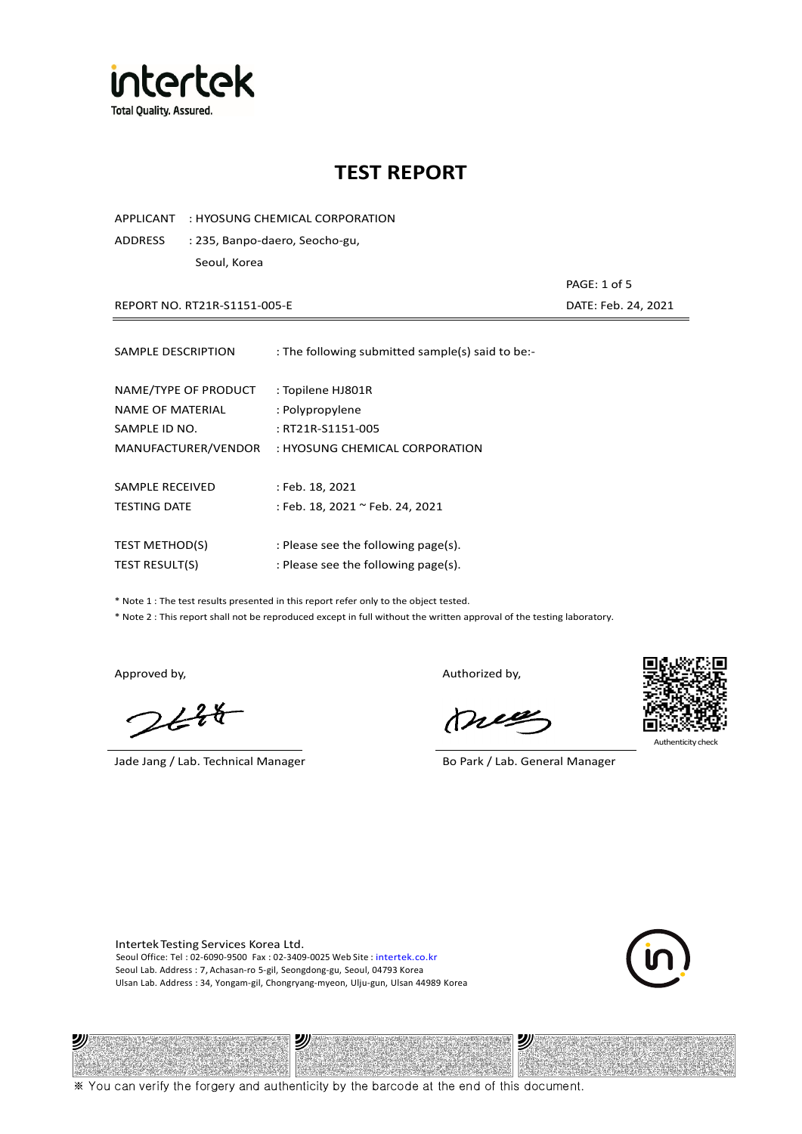

APPLICANT : HYOSUNG CHEMICAL CORPORATION

ADDRESS : 235, Banpo-daero, Seocho-gu, Seoul, Korea

REPORT NO. RT21R-S1151-005-E DATE: Feb. 24, 2021

| SAMPLE DESCRIPTION    | : The following submitted sample(s) said to be:- |
|-----------------------|--------------------------------------------------|
| NAME/TYPE OF PRODUCT  | : Topilene HJ801R                                |
| NAME OF MATERIAL      | : Polypropylene                                  |
| SAMPLE ID NO.         | : RT21R-S1151-005                                |
| MANUFACTURER/VENDOR   | : HYOSUNG CHEMICAL CORPORATION                   |
| SAMPLE RECEIVED       | : Feb. 18, 2021                                  |
| <b>TESTING DATE</b>   | : Feb. 18, 2021 ~ Feb. 24, 2021                  |
| <b>TEST METHOD(S)</b> | : Please see the following page(s).              |
| <b>TEST RESULT(S)</b> | : Please see the following page(s).              |

\* Note 1 : The test results presented in this report refer only to the object tested.

\* Note 2 : This report shall not be reproduced except in full without the written approval of the testing laboratory.

沙

 $248$ 

Jade Jang / Lab. Technical Manager Bo Park / Lab. General Manager

Approved by, Authorized by, Authorized by,

mes



Authenticity check

沙

PAGE: 1 of 5

Intertek Testing Services Korea Ltd. Seoul Office: Tel : 02-6090-9500 Fax : 02-3409-0025 Web Site : intertek.co.kr Seoul Lab. Address : 7, Achasan-ro 5-gil, Seongdong-gu, Seoul, 04793 Korea Ulsan Lab. Address : 34, Yongam-gil, Chongryang-myeon, Ulju-gun, Ulsan 44989 Korea

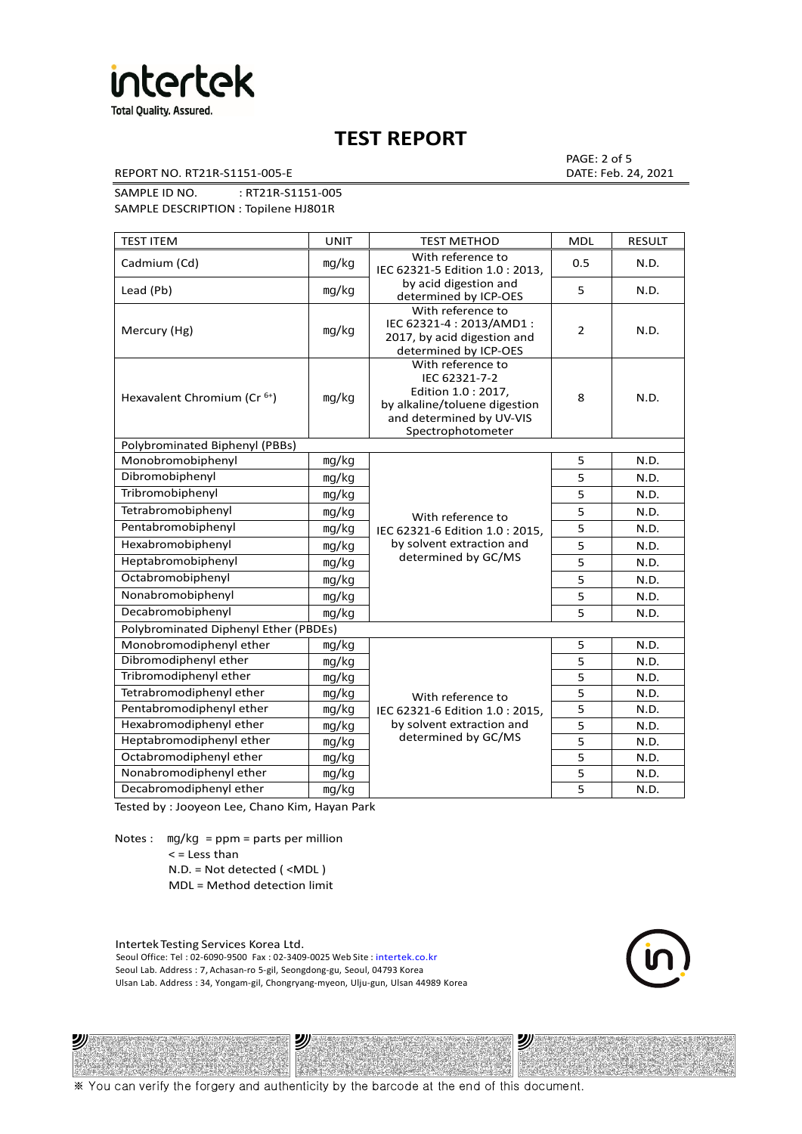

REPORT NO. RT21R-S1151-005-E DATE: Feb. 24, 2021

PAGE: 2 of 5

SAMPLE ID NO. : RT21R-S1151-005 SAMPLE DESCRIPTION : Topilene HJ801R

TEST ITEM TEST IN TEST METHOD NOLL RESULT Cadmium (Cd) ㎎/㎏ With reference to IEC 62321-5 Edition 1.0 : 2013, by acid digestion and determined by ICP-OES 0.5 N.D. Lead (Pb)  $\log/kg$   $\log kg$  acid digestion and  $\log k$  s  $\log \log k$  5  $\log \log k$  N.D. Mercury (Hg) ㎎/㎏ With reference to IEC 62321-4 : 2013/AMD1 : 2017, by acid digestion and determined by ICP-OES 2 N.D. Hexavalent Chromium (Cr<sup>6+</sup>) | mg/kg With reference to IEC 62321-7-2 Edition 1.0 : 2017, by alkaline/toluene digestion and determined by UV-VIS Spectrophotometer 8 N.D. Polybrominated Biphenyl (PBBs) Monobromobiphenyl ng/kg With reference to Pentabromobiphenyl mg/kg IEC 62321-6 Edition 1.0 : 2015, 5 N.D. Hexabromobiphenyl | <sub>mg/kg</sub> | by solvent extraction and | 5 | N.D. determined by GC/MS 5 N.D. Dibromobiphenyl ㎎/㎏ 5 N.D. Tribromobiphenyl and ma/kg 5 N.D. Tetrabromobiphenyl mg/kg N/ith reference to 5 N.D. Heptabromobiphenyl  $\log kq$  determined by GC/MS  $\vert$  5 N.D. Octabromobiphenyl ng/kg 5 N.D. Nonabromobiphenyl mg/kg 5 N.D. Decabromobiphenyl ng/kg 5 N.D. Polybrominated Diphenyl Ether (PBDEs) Monobromodiphenyl ether ng/kg With reference to Pentabromodiphenyl ether  $\parallel$  mg/kg  $\parallel$  IEC 62321-6 Edition 1.0 : 2015,  $\parallel$  5 N.D. by solvent extraction and determined by GC/MS 5 N.D. Dibromodiphenyl ether  $\vert$  mg/kg  $\vert$  5 N.D. Tribromodiphenyl ether and mg/kg contact the method of the state of the N.D. Tetrabromodiphenyl ether | mg/kg With reference to 5 N.D. Hexabromodiphenyl ether  $\vert$  mg/kg  $\vert$  by solvent extraction and  $\vert$  5 N.D. Heptabromodiphenyl ether ㎎/㎏ 5 N.D. Octabromodiphenyl ether ng/kg 1 mg/kg 5 N.D. Nonabromodiphenyl ether ng/kg 5 N.D. Decabromodiphenyl ether  $\vert$  mg/kg  $\vert$  5 N.D.

Tested by : Jooyeon Lee, Chano Kim, Hayan Park

Notes : mg/kg = ppm = parts per million < = Less than N.D. = Not detected ( <MDL )

MDL = Method detection limit

Intertek Testing Services Korea Ltd. Seoul Office: Tel : 02-6090-9500 Fax : 02-3409-0025 Web Site : intertek.co.kr Seoul Lab. Address : 7, Achasan-ro 5-gil, Seongdong-gu, Seoul, 04793 Korea Ulsan Lab. Address : 34, Yongam-gil, Chongryang-myeon, Ulju-gun, Ulsan 44989 Korea

נש

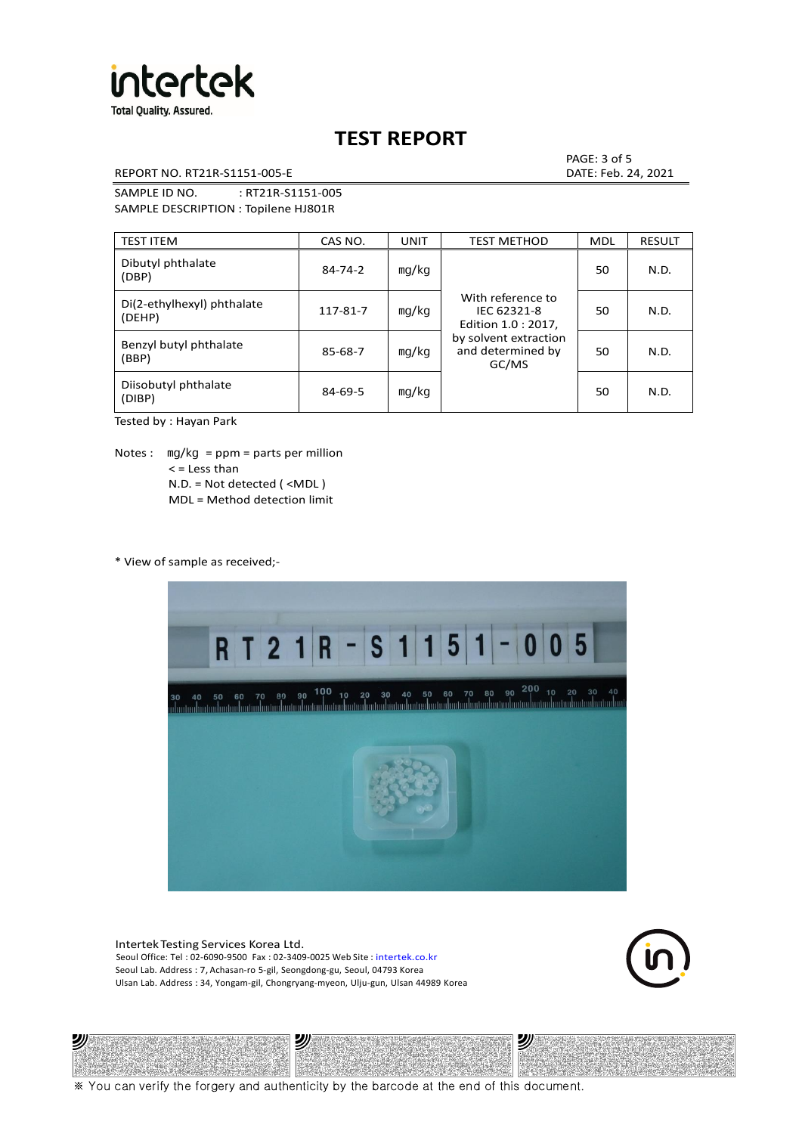

REPORT NO. RT21R-S1151-005-E DATE: Feb. 24, 2021

PAGE: 3 of 5

SAMPLE ID NO. : RT21R-S1151-005 SAMPLE DESCRIPTION : Topilene HJ801R

| <b>TEST ITEM</b>                     | CAS NO.       | <b>UNIT</b> | <b>TEST METHOD</b>                                                                                             | <b>MDL</b> | <b>RESULT</b> |
|--------------------------------------|---------------|-------------|----------------------------------------------------------------------------------------------------------------|------------|---------------|
| Dibutyl phthalate<br>(DBP)           | $84 - 74 - 2$ | mq/kg       | With reference to<br>IEC 62321-8<br>Edition 1.0 : 2017,<br>by solvent extraction<br>and determined by<br>GC/MS | 50         | N.D.          |
| Di(2-ethylhexyl) phthalate<br>(DEHP) | 117-81-7      | mg/kg       |                                                                                                                | 50         | N.D.          |
| Benzyl butyl phthalate<br>(BBP)      | 85-68-7       | mg/kg       |                                                                                                                | 50         | N.D.          |
| Diisobutyl phthalate<br>(DIBP)       | $84 - 69 - 5$ | mg/kg       |                                                                                                                | 50         | N.D.          |

Tested by : Hayan Park

Notes : mg/kg = ppm = parts per million  $<$  = Less than N.D. = Not detected ( <MDL ) MDL = Method detection limit

\* View of sample as received;-

沙



Intertek Testing Services Korea Ltd. Seoul Office: Tel : 02-6090-9500 Fax : 02-3409-0025 Web Site : intertek.co.kr Seoul Lab. Address : 7, Achasan-ro 5-gil, Seongdong-gu, Seoul, 04793 Korea Ulsan Lab. Address : 34, Yongam-gil, Chongryang-myeon, Ulju-gun, Ulsan 44989 Korea

沙

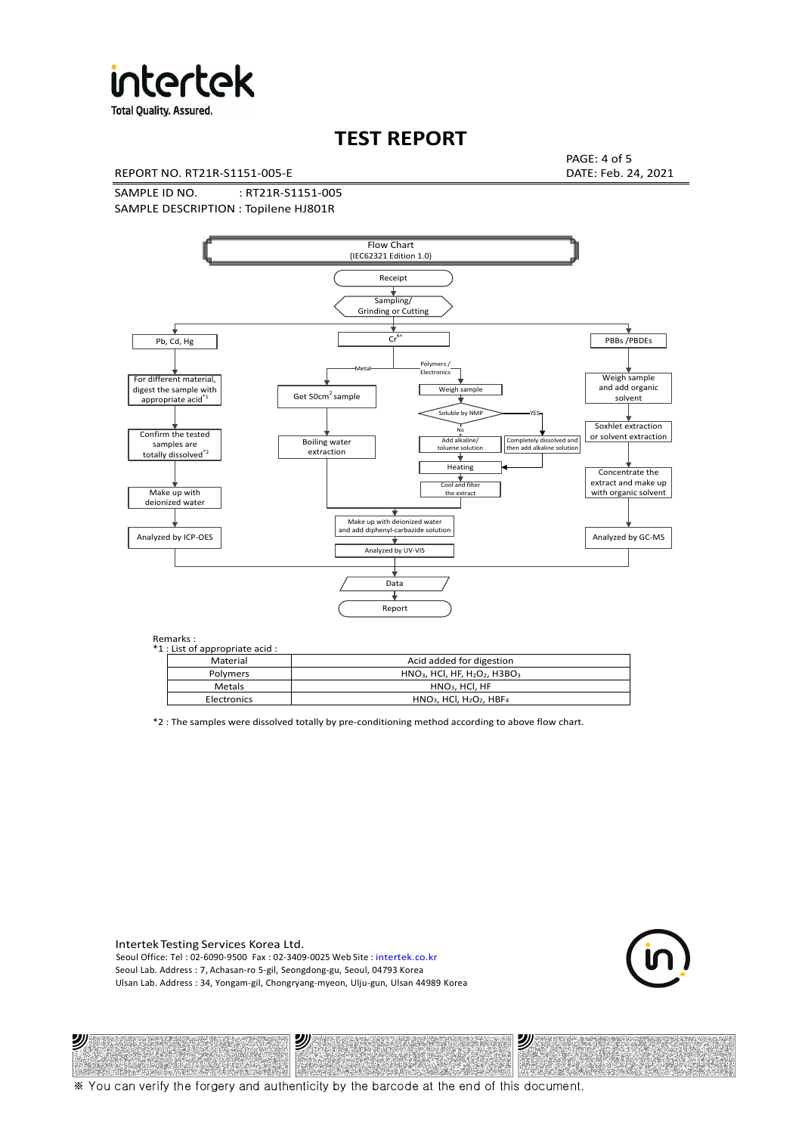

**Total Quality. Assured.** 

# **TEST REPORT**

REPORT NO. RT21R-S1151-005-E DATE: Feb. 24, 2021

PAGE: 4 of 5

SAMPLE ID NO. : RT21R-S1151-005 SAMPLE DESCRIPTION : Topilene HJ801R



Remarks :

沙

| . د ۱۱۱ تا ۱۰<br>1 : List of appropriate acid : |                                                                     |  |  |  |  |
|-------------------------------------------------|---------------------------------------------------------------------|--|--|--|--|
| Material                                        | Acid added for digestion                                            |  |  |  |  |
| <b>Polymers</b>                                 | $HNO3$ , HCl, HF, H <sub>2</sub> O <sub>2</sub> , H3BO <sub>3</sub> |  |  |  |  |
| <b>Metals</b>                                   | $HNO3$ , HCl, HF                                                    |  |  |  |  |
| Electronics                                     | $HNO3$ , HCl, H <sub>2</sub> O <sub>2</sub> , HBF <sub>4</sub>      |  |  |  |  |
|                                                 |                                                                     |  |  |  |  |

\*2 : The samples were dissolved totally by pre-conditioning method according to above flow chart.

Intertek Testing Services Korea Ltd. Seoul Office: Tel : 02-6090-9500 Fax : 02-3409-0025 Web Site : intertek.co.kr Seoul Lab. Address : 7, Achasan-ro 5-gil, Seongdong-gu, Seoul, 04793 Korea Ulsan Lab. Address : 34, Yongam-gil, Chongryang-myeon, Ulju-gun, Ulsan 44989 Korea

沙